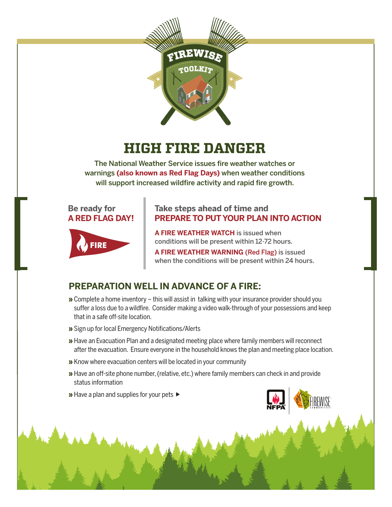

# **HIGH FIRE DANGER**

The National Weather Service issues fire weather watches or warnings **(also known as Red Flag Days)** when weather conditions will support increased wildfire activity and rapid fire growth.





#### **Take steps ahead of time and PREPARE TO PUT YOUR PLAN INTO ACTION**

**A FIRE WEATHER WATCH** is issued when conditions will be present within 12-72 hours.

**A FIRE WEATHER WARNING** (Red Flag) is issued when the conditions will be present within 24 hours.

### **PREPARATION WELL IN ADVANCE OF A FIRE:**

- » Complete a home inventory this will assist in talking with your insurance provider should you suffer a loss due to a wildfire. Consider making a video walk-through of your possessions and keep that in a safe off-site location.
- » Sign up for local Emergency Notifications/Alerts
- » Have an Evacuation Plan and a designated meeting place where family members will reconnect after the evacuation. Ensure everyone in the household knows the plan and meeting place location.
- » Know where evacuation centers will be located in your community
- » Have an off-site phone number, (relative, etc.) where family members can check in and provide status information
- » Have a plan and supplies for your pets ►